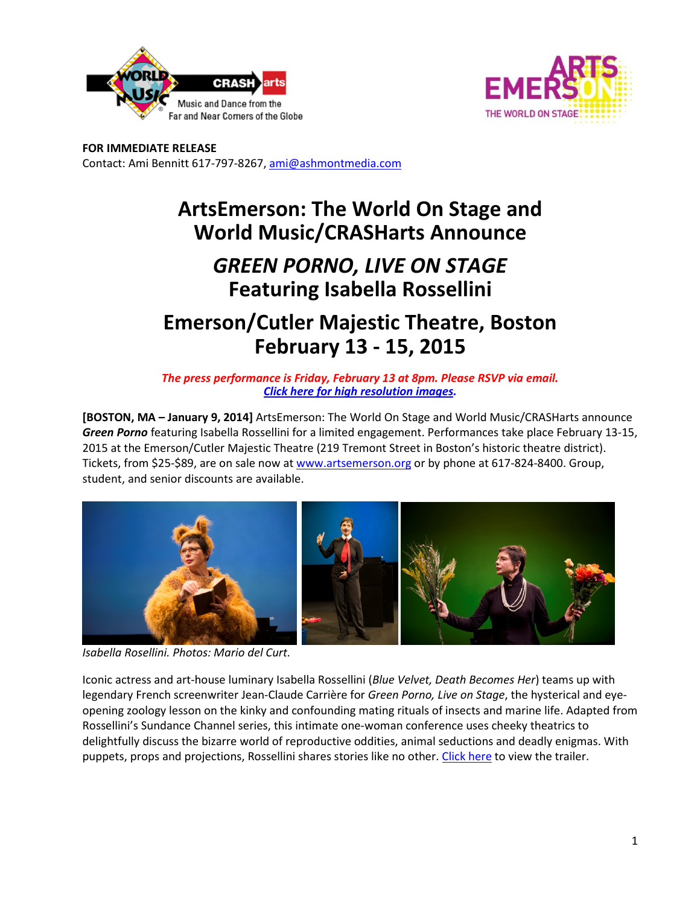



**FOR IMMEDIATE RELEASE**  Contact: Ami Bennitt 617‐797‐8267, ami@ashmontmedia.com

# **ArtsEmerson: The World On Stage and World Music/CRASHarts Announce**

## *GREEN PORNO, LIVE ON STAGE* **Featuring Isabella Rossellini**

## **Emerson/Cutler Majestic Theatre, Boston February 13 - 15, 2015**

*The press performance is Friday, February 13 at 8pm. Please RSVP via email. Click here for high resolution images.*

**[BOSTON, MA – January 9, 2014]** ArtsEmerson: The World On Stage and World Music/CRASHarts announce *Green Porno* featuring Isabella Rossellini for a limited engagement. Performances take place February 13‐15, 2015 at the Emerson/Cutler Majestic Theatre (219 Tremont Street in Boston's historic theatre district). Tickets, from \$25‐\$89, are on sale now at www.artsemerson.org or by phone at 617‐824‐8400. Group, student, and senior discounts are available.



*Isabella Rosellini. Photos: Mario del Curt.*

Iconic actress and art‐house luminary Isabella Rossellini (*Blue Velvet, Death Becomes Her*) teams up with legendary French screenwriter Jean‐Claude Carrière for *Green Porno, Live on Stage*, the hysterical and eye‐ opening zoology lesson on the kinky and confounding mating rituals of insects and marine life. Adapted from Rossellini's Sundance Channel series, this intimate one‐woman conference uses cheeky theatrics to delightfully discuss the bizarre world of reproductive oddities, animal seductions and deadly enigmas. With puppets, props and projections, Rossellini shares stories like no other. Click here to view the trailer.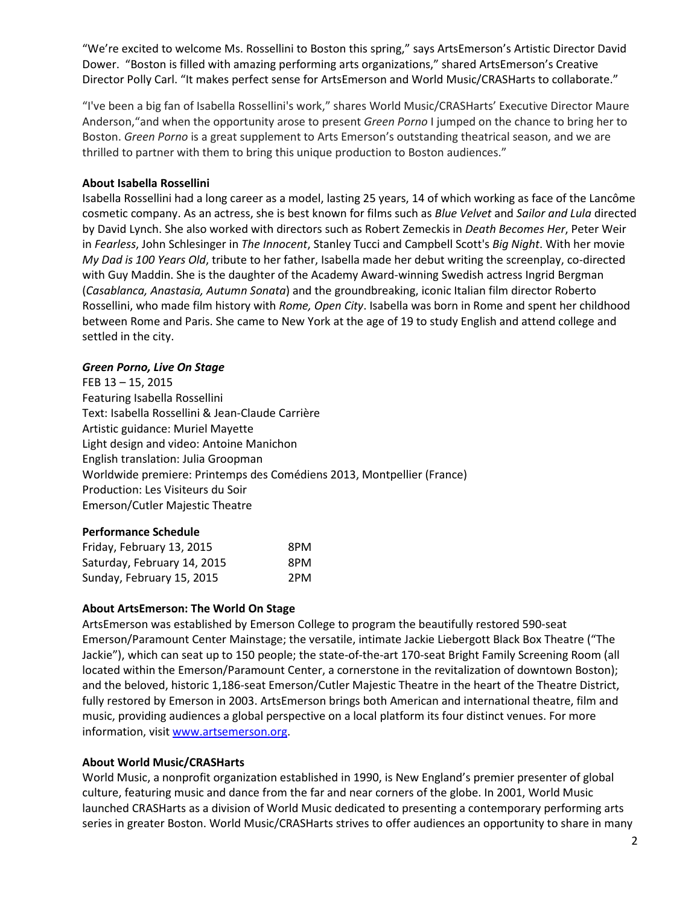"We're excited to welcome Ms. Rossellini to Boston this spring," says ArtsEmerson's Artistic Director David Dower. "Boston is filled with amazing performing arts organizations," shared ArtsEmerson's Creative Director Polly Carl. "It makes perfect sense for ArtsEmerson and World Music/CRASHarts to collaborate."

"I've been a big fan of Isabella Rossellini's work," shares World Music/CRASHarts' Executive Director Maure Anderson,"and when the opportunity arose to present *Green Porno* I jumped on the chance to bring her to Boston. *Green Porno* is a great supplement to Arts Emerson's outstanding theatrical season, and we are thrilled to partner with them to bring this unique production to Boston audiences."

#### **About Isabella Rossellini**

Isabella Rossellini had a long career as a model, lasting 25 years, 14 of which working as face of the Lancôme cosmetic company. As an actress, she is best known for films such as *Blue Velvet* and *Sailor and Lula* directed by David Lynch. She also worked with directors such as Robert Zemeckis in *Death Becomes Her*, Peter Weir in *Fearless*, John Schlesinger in *The Innocent*, Stanley Tucci and Campbell Scott's *Big Night*. With her movie *My Dad is 100 Years Old*, tribute to her father, Isabella made her debut writing the screenplay, co-directed with Guy Maddin. She is the daughter of the Academy Award-winning Swedish actress Ingrid Bergman (*Casablanca, Anastasia, Autumn Sonata*) and the groundbreaking, iconic Italian film director Roberto Rossellini, who made film history with *Rome, Open City*. Isabella was born in Rome and spent her childhood between Rome and Paris. She came to New York at the age of 19 to study English and attend college and settled in the city.

#### *Green Porno, Live On Stage*

FEB 13 – 15, 2015 Featuring Isabella Rossellini Text: Isabella Rossellini & Jean‐Claude Carrière Artistic guidance: Muriel Mayette Light design and video: Antoine Manichon English translation: Julia Groopman Worldwide premiere: Printemps des Comédiens 2013, Montpellier (France) Production: Les Visiteurs du Soir Emerson/Cutler Majestic Theatre

#### **Performance Schedule**

| Friday, February 13, 2015   | 8PM |
|-----------------------------|-----|
| Saturday, February 14, 2015 | 8PM |
| Sunday, February 15, 2015   | 2PM |

#### **About ArtsEmerson: The World On Stage**

ArtsEmerson was established by Emerson College to program the beautifully restored 590‐seat Emerson/Paramount Center Mainstage; the versatile, intimate Jackie Liebergott Black Box Theatre ("The Jackie"), which can seat up to 150 people; the state‐of‐the‐art 170‐seat Bright Family Screening Room (all located within the Emerson/Paramount Center, a cornerstone in the revitalization of downtown Boston); and the beloved, historic 1,186‐seat Emerson/Cutler Majestic Theatre in the heart of the Theatre District, fully restored by Emerson in 2003. ArtsEmerson brings both American and international theatre, film and music, providing audiences a global perspective on a local platform its four distinct venues. For more information, visit www.artsemerson.org.

#### **About World Music/CRASHarts**

World Music, a nonprofit organization established in 1990, is New England's premier presenter of global culture, featuring music and dance from the far and near corners of the globe. In 2001, World Music launched CRASHarts as a division of World Music dedicated to presenting a contemporary performing arts series in greater Boston. World Music/CRASHarts strives to offer audiences an opportunity to share in many